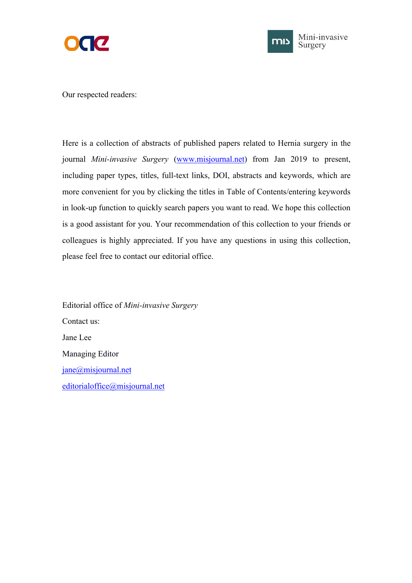



Our respected readers:

Here is a collection of abstracts of published papers related to Hernia surgery in the journal *Mini-invasive Surgery* [\(www.misjournal.net](http://www.misjournal.net)) from Jan 2019 to present, including paper types, titles, full-text links, DOI, abstracts and keywords, which are more convenient for you by clicking the titles in Table of Contents/entering keywords in look-up function to quickly search papers you want to read. We hope this collection is a good assistant for you. Your recommendation of this collection to your friends or colleagues is highly appreciated. If you have any questions in using this collection, please feel free to contact our editorial office.

Editorial office of *Mini-invasive Surgery* Contact us: Jane Lee Managing Editor [jane@misjournal.net](mailto:jane@misjournal.net) [editorialoffice@misjournal.net](mailto:editorialoffice@misjournal.net)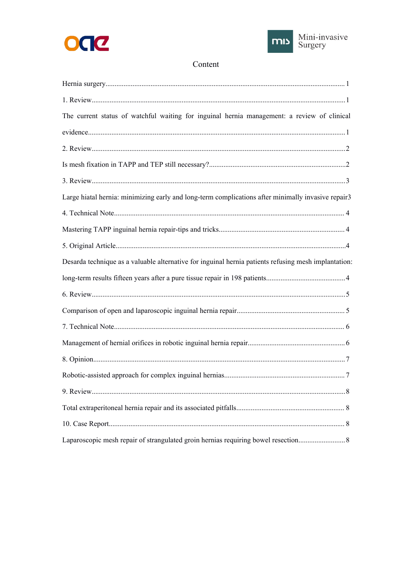



## Content

| The current status of watchful waiting for inguinal hernia management: a review of clinical          |  |
|------------------------------------------------------------------------------------------------------|--|
|                                                                                                      |  |
|                                                                                                      |  |
|                                                                                                      |  |
|                                                                                                      |  |
| Large hiatal hernia: minimizing early and long-term complications after minimally invasive repair3   |  |
|                                                                                                      |  |
|                                                                                                      |  |
|                                                                                                      |  |
| Desarda technique as a valuable alternative for inguinal hernia patients refusing mesh implantation: |  |
|                                                                                                      |  |
|                                                                                                      |  |
|                                                                                                      |  |
|                                                                                                      |  |
|                                                                                                      |  |
|                                                                                                      |  |
|                                                                                                      |  |
|                                                                                                      |  |
|                                                                                                      |  |
|                                                                                                      |  |
|                                                                                                      |  |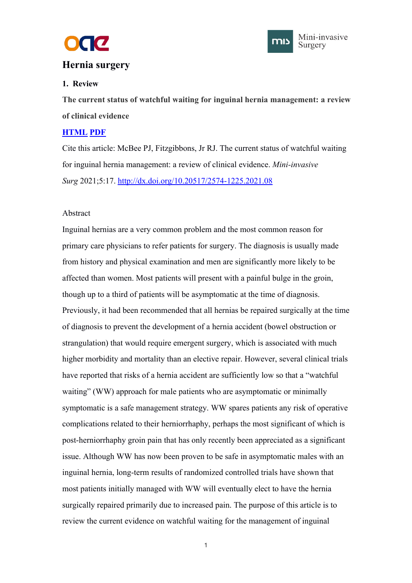



## <span id="page-2-1"></span><span id="page-2-0"></span>**[Hernia](file:///C:/Program%20Files%20(x86)/Youdao/Dict/8.9.6.0/resultui/html/index.html) [surgery](file:///C:/Program%20Files%20(x86)/Youdao/Dict/8.9.6.0/resultui/html/index.html)**

## **1. Review**

**The current status ofwatchful waiting for inguinal hernia management: a review of clinical evidence**

## **[HTML](https://misjournal.net/article/view/4000) [PDF](https://misjournal.net/article/download/4000)**

Cite this article: McBee PJ, Fitzgibbons, Jr RJ. The current status of watchful waiting for inguinal hernia management: a review of clinical evidence. *Mini-invasive Surg* 2021;5:17. <http://dx.doi.org/10.20517/2574-1225.2021.08>

## Abstract

Inguinal hernias are a very common problem and the most common reason for primary care physicians to refer patients for surgery. The diagnosis is usually made from history and physical examination and men are significantly more likely to be affected than women. Most patients will present with a painful bulge in the groin, though up to a third of patients will be asymptomatic at the time of diagnosis. Previously, it had been recommended that all hernias be repaired surgically at the time of diagnosis to prevent the development of a hernia accident (bowel obstruction or strangulation) that would require emergent surgery, which is associated with much higher morbidity and mortality than an elective repair. However, several clinical trials have reported that risks of a hernia accident are sufficiently low so that a "watchful" waiting" (WW) approach for male patients who are asymptomatic or minimally symptomatic is a safe management strategy. WW spares patients any risk of operative complications related to their herniorrhaphy, perhaps the most significant of which is post-herniorrhaphy groin pain that has only recently been appreciated as a significant issue. Although WW has now been proven to be safe in asymptomatic males with an inguinal hernia, long-term results ofrandomized controlled trials have shown that most patients initially managed with WW will eventually elect to have the hernia surgically repaired primarily due to increased pain. The purpose of this article is to review the current evidence on watchful waiting for the management of inguinal

 $1$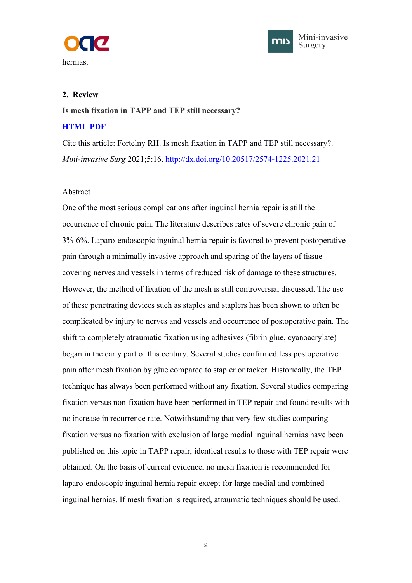<span id="page-3-1"></span><span id="page-3-0"></span>



#### **2. Review**

**Is mesh fixation in TAPP and TEP still necessary?**

#### **[HTML](https://misjournal.net/article/view/3981) [PDF](https://misjournal.net/article/download/3981)**

Cite this article: Fortelny RH. Is mesh fixation in TAPP and TEP still necessary?. *Mini-invasive Surg* 2021;5:16. <http://dx.doi.org/10.20517/2574-1225.2021.21>

#### Abstract

One of the most serious complications after inguinal hernia repair is still the occurrence of chronic pain. The literature describes rates of severe chronic pain of 3%-6%. Laparo-endoscopic inguinal hernia repair is favored to prevent postoperative pain through a minimally invasive approach and sparing of the layers of tissue covering nerves and vessels in terms of reduced risk of damage to these structures. However, the method of fixation of the mesh is still controversial discussed. The use of these penetrating devices such as staples and staplers has been shown to often be complicated by injury to nerves and vessels and occurrence of postoperative pain. The shift to completely atraumatic fixation using adhesives (fibrin glue, cyanoacrylate) began in the early part of this century. Several studies confirmed less postoperative pain after mesh fixation by glue compared to stapler or tacker. Historically, the TEP technique has always been performed without any fixation. Several studies comparing fixation versus non-fixation have been performed in TEP repair and found results with no increase in recurrence rate. Notwithstanding that very few studies comparing fixation versus no fixation with exclusion of large medial inguinal hernias have been published on this topic in TAPP repair, identical results to those with TEP repair were obtained. On the basis of current evidence, no mesh fixation is recommended for laparo-endoscopic inguinal hernia repair except for large medial and combined inguinal hernias. If mesh fixation is required, atraumatic techniques should be used.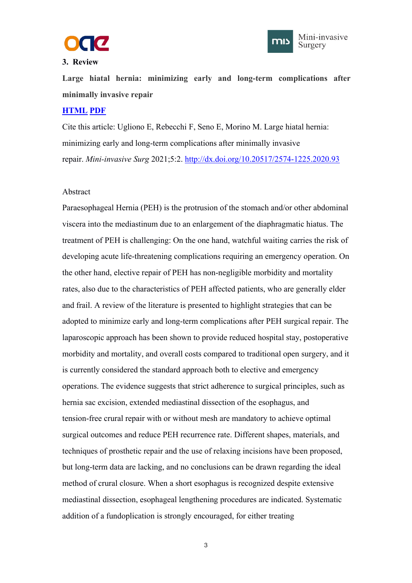

#### <span id="page-4-1"></span><span id="page-4-0"></span>**3. Review**



Large hiatal hernia: minimizing early and long-term complications after **minimally invasive repair**

#### **[HTML](https://misjournal.net/article/view/3858) [PDF](https://misjournal.net/article/download/3858)**

Cite this article: Ugliono E, Rebecchi F, Seno E, Morino M. Large hiatal hernia: minimizing early and long-term complications after minimally invasive repair. *Mini-invasive Surg* 2021;5:2. <http://dx.doi.org/10.20517/2574-1225.2020.93>

#### Abstract

Paraesophageal Hernia (PEH) is the protrusion of the stomach and/or other abdominal viscera into the mediastinum due to an enlargement of the diaphragmatic hiatus. The treatment of PEH is challenging: On the one hand, watchful waiting carries the risk of developing acute life-threatening complications requiring an emergency operation. On the other hand, elective repair of PEH has non-negligible morbidity and mortality rates, also due to the characteristics of PEH affected patients, who are generally elder and frail. A review of the literature is presented to highlight strategies that can be adopted to minimize early and long-term complications after PEH surgical repair. The laparoscopic approach has been shown to provide reduced hospital stay, postoperative morbidity and mortality, and overall costs compared to traditional open surgery, and it is currently considered the standard approach both to elective and emergency operations. The evidence suggests that strict adherence to surgical principles, such as hernia sac excision, extended mediastinal dissection of the esophagus, and tension-free crural repair with or without mesh are mandatory to achieve optimal surgical outcomes and reduce PEH recurrence rate. Different shapes, materials, and techniques of prosthetic repair and the use of relaxing incisions have been proposed, but long-term data are lacking, and no conclusions can be drawn regarding the ideal method of crural closure. When a short esophagus is recognized despite extensive mediastinal dissection, esophageal lengthening procedures are indicated. Systematic addition of a fundoplication is strongly encouraged, for either treating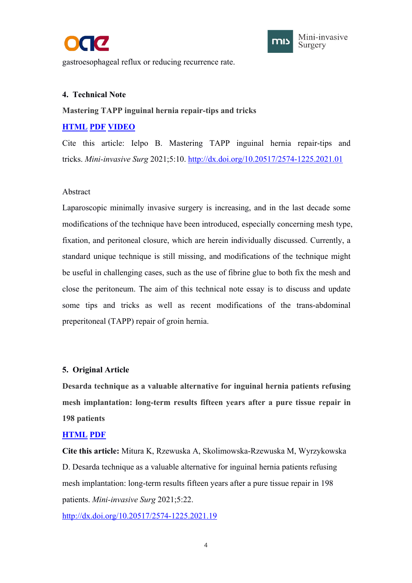



<span id="page-5-1"></span><span id="page-5-0"></span>gastroesophageal reflux or reducing recurrence rate.

#### **4. Technical Note**

#### **Mastering TAPP inguinal hernia repair-tips and tricks**

## **[HTML](https://misjournal.net/article/view/3934) [PDF](https://misjournal.net/article/download/3934) [VIDEO](https://misjournal.net/files/talkvideo/3934.mp4)**

Cite this article: Ielpo B. Mastering TAPP inguinal hernia repair-tips and tricks. *Mini-invasive Surg* 2021;5:10. <http://dx.doi.org/10.20517/2574-1225.2021.01>

#### Abstract

Laparoscopic minimally invasive surgery is increasing, and in the last decade some modifications of the technique have been introduced, especially concerning mesh type, fixation, and peritoneal closure, which are herein individually discussed. Currently, a standard unique technique is still missing, and modifications of the technique might be useful in challenging cases, such as the use of fibrine glue to both fix the mesh and close the peritoneum. The aim of this technical note essay is to discuss and update some tips and tricks as well as recent modifications of the trans-abdominal preperitoneal (TAPP) repair of groin hernia.

#### **5. Original Article**

**Desarda technique as a valuable alternative for inguinal hernia patients refusing mesh implantation: long-term results fifteen years after a pure tissue repair in 198 patients**

#### **[HTML](https://misjournal.net/article/view/4027) [PDF](https://misjournal.net/article/download/3934https:/oaepublishstorage.blob.core.windows.net/5bc7bb58-21f5-4e06-b42c-1860fb62fea7/4027.pdf)**

**Cite this article:** Mitura K, Rzewuska A, Skolimowska-Rzewuska M, Wyrzykowska D. Desarda technique as a valuable alternative for inguinal hernia patients refusing mesh implantation: long-term results fifteen years after a pure tissue repair in 198 patients. *Mini-invasive Surg* 2021;5:22.

<http://dx.doi.org/10.20517/2574-1225.2021.19>

4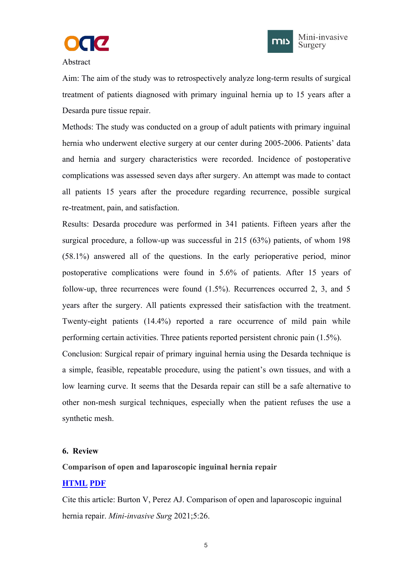



<span id="page-6-1"></span><span id="page-6-0"></span>Abstract

Aim: The aim of the study was to retrospectively analyze long-term results of surgical treatment of patients diagnosed with primary inguinal hernia up to 15 years after a Desarda pure tissue repair.

Methods: The study was conducted on a group of adult patients with primary inguinal hernia who underwent elective surgery at our center during 2005-2006. Patients' data and hernia and surgery characteristics were recorded. Incidence of postoperative complications was assessed seven daysafter surgery. An attempt was made to contact all patients 15 years after the procedure regarding recurrence, possible surgical re-treatment, pain, and satisfaction.

Results: Desarda procedure was performed in 341 patients. Fifteen years after the surgical procedure, a follow-up was successful in 215 (63%) patients, of whom 198 (58.1%) answered all of the questions. In the early perioperative period, minor postoperative complications were found in 5.6% of patients. After 15 years of follow-up, three recurrences were found (1.5%). Recurrences occurred 2, 3, and 5 years after the surgery.All patients expressed their satisfaction with the treatment. Twenty-eight patients (14.4%) reported a rare occurrence of mild pain while performing certain activities. Three patients reported persistent chronic pain (1.5%). Conclusion: Surgical repair of primary inguinal hernia using the Desarda technique is a simple, feasible, repeatable procedure, using the patient's own tissues, and with a low learning curve. It seems that the Desarda repair can still be a safe alternative to other non-mesh surgical techniques, especially when the patient refuses the use a

# synthetic mesh.

#### **6. Review**

#### **Comparison of open and laparoscopic inguinal hernia repair**

## **[HTML](https://misjournal.net/article/view/4099) [PDF](https://oaepublishstorage.blob.core.windows.net/6070fa7d-5b2a-4cb9-b341-d4a780fda696/4099.pdf)**

Cite this article: Burton V, Perez AJ. Comparison of open and laparoscopic inguinal hernia repair. *Mini-invasive Surg* 2021;5:26.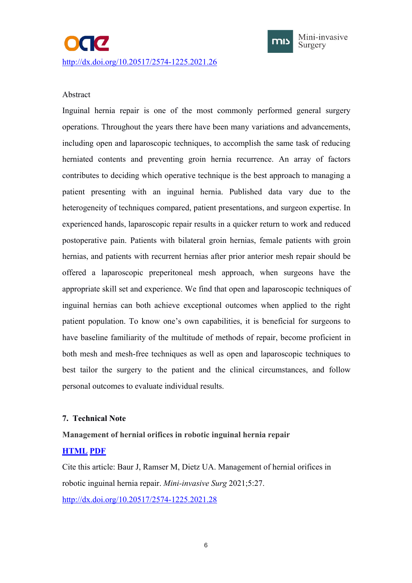

#### <span id="page-7-1"></span><span id="page-7-0"></span>Abstract

Inguinal hernia repair is one of the most commonly performed general surgery operations. Throughout the years there have been many variations and advancements, including open and laparoscopic techniques, to accomplish the same task of reducing herniated contents and preventing groin hernia recurrence. An array of factors contributes to deciding which operative technique is the best approach to managing a patient presenting with an inguinal hernia. Published data vary due to the heterogeneity of techniques compared, patient presentations, and surgeon expertise. In experienced hands, laparoscopic repair results in a quicker return to work and reduced postoperative pain. Patients with bilateral groin hernias, female patients with groin hernias, and patients with recurrent hernias after prior anterior mesh repair should be offered alaparoscopic preperitoneal mesh approach, when surgeons have the appropriate skill set and experience. We find that open and laparoscopic techniques of inguinal hernias can both achieve exceptional outcomes when applied to the right patient population. To know one's own capabilities, it is beneficial for surgeons to have baseline familiarity of the multitude of methods of repair, become proficient in both mesh and mesh-free techniques as well as open and laparoscopic techniques to best tailor the surgery to the patient and the clinical circumstances, and follow personal outcomes to evaluate individual results.

## **7. Technical Note**

**Management of hernial orifices in robotic inguinal hernia repair**

## **[HTML](https://misjournal.net/article/view/4100) [PDF](https://oaepublishstorage.blob.core.windows.net/cd9f16b3-5379-4e72-99e3-48db2bc098e4/4100.pdf)**

Cite this article: Baur J, Ramser M, Dietz UA. Management of hernial orifices in robotic inguinal hernia repair. *Mini-invasive Surg* 2021;5:27. <http://dx.doi.org/10.20517/2574-1225.2021.28>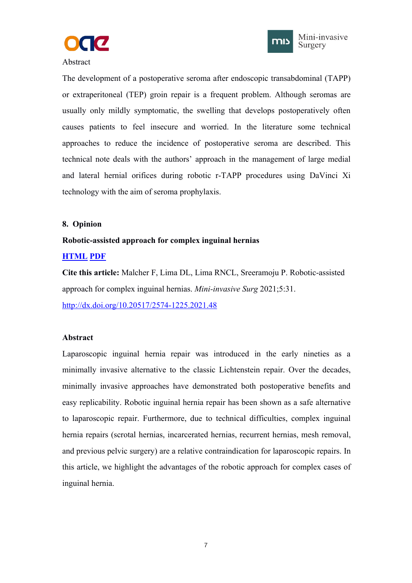



#### <span id="page-8-1"></span><span id="page-8-0"></span>Abstract

The development of a postoperative seroma after endoscopic transabdominal (TAPP) or extraperitoneal (TEP) groin repair is a frequent problem. Although seromas are usually only mildly symptomatic, the swelling that develops postoperatively often causes patients to feel insecure and worried. In the literature some technical approaches to reduce the incidence of postoperative seroma are described. This technical note deals with the authors' approach in the management of large medial and lateral hernial orifices during robotic r-TAPP procedures using DaVinci Xi technology with the aim of seroma prophylaxis.

#### **8. Opinion**

#### **Robotic-assisted approach for complex inguinal hernias**

#### **[HTML](https://misjournal.net/article/view/4152) [PDF](https://misjournal.net/article/download/4152)**

**Cite this article:** Malcher F, Lima DL, Lima RNCL, Sreeramoju P. Robotic-assisted approach for complex inguinal hernias. *Mini-invasive Surg* 2021;5:31. <http://dx.doi.org/10.20517/2574-1225.2021.48>

#### **Abstract**

Laparoscopic inguinal hernia repair was introduced in the early nineties as a minimally invasive alternative to the classic Lichtenstein repair. Over the decades, minimally invasive approaches have demonstrated both postoperative benefits and easy replicability. Robotic inguinal hernia repair has been shown as a safe alternative to laparoscopic repair. Furthermore, due to technical difficulties, complex inguinal hernia repairs (scrotal hernias, incarcerated hernias, recurrent hernias, mesh removal, and previous pelvic surgery) are a relative contraindication for laparoscopic repairs. In this article, we highlight the advantages of the robotic approach for complex cases of inguinal hernia.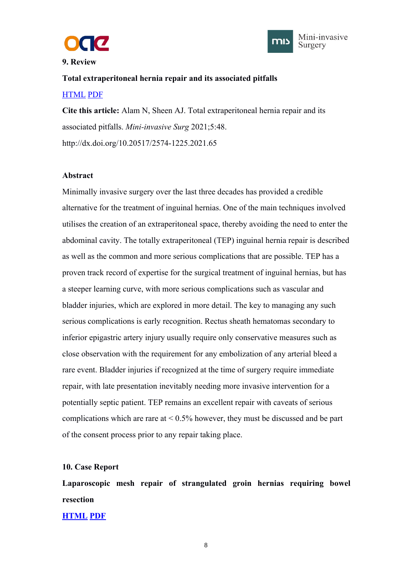



#### <span id="page-9-0"></span>**9. Review**

# **Total extraperitoneal hernia repair and its associated pitfalls** [HTML](https://misjournal.net/article/view/4159) [PDF](https://misjournal.net/article/download/4159)

**Cite this article:** Alam N, Sheen AJ. Total extraperitoneal hernia repair and its associated pitfalls. *Mini-invasive Surg* 2021;5:48. http://dx.doi.org/10.20517/2574-1225.2021.65

#### **Abstract**

Minimally invasive surgery over the last three decades has provided a credible alternative for the treatment of inguinal hernias. One of the main techniques involved utilises the creation of an extraperitoneal space, thereby avoiding the need to enter the abdominal cavity. The totally extraperitoneal (TEP) inguinal hernia repair is described as well as the common and more serious complications that are possible. TEP has a proven track record of expertise for the surgical treatment of inguinal hernias, but has a steeper learning curve, with more serious complications such as vascular and bladder injuries, which are explored in more detail. The key to managing any such serious complications is early recognition. Rectus sheath hematomas secondary to inferior epigastric artery injury usually require only conservative measures such as close observation with the requirement for any embolization of any arterial bleed a rare event. Bladder injuries if recognized at the time of surgery require immediate repair, with late presentation inevitably needing more invasive intervention for a potentially septic patient. TEP remains an excellent repair with caveats of serious complications which are rare at  $\leq 0.5\%$  however, they must be discussed and be part of the consent process prior to any repair taking place.

#### **10. Case Report**

**Laparoscopic mesh repair of strangulated groin hernias requiring bowel resection**

**[HTML](https://misjournal.net/article/view/4189) [PDF](https://misjournal.net/article/download/4189)**